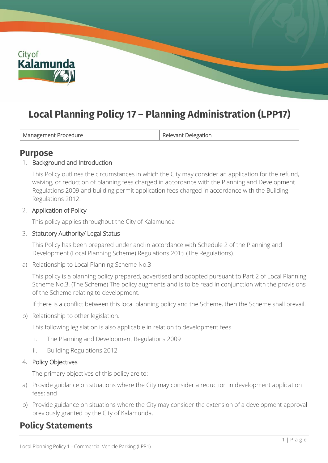

# **Local Planning Policy 17 – Planning Administration (LPP17)**

Management Procedure **Relevant Delegation** 

### **Purpose**

#### 1. Background and Introduction

This Policy outlines the circumstances in which the City may consider an application for the refund, waiving, or reduction of planning fees charged in accordance with the Planning and Development Regulations 2009 and building permit application fees charged in accordance with the Building Regulations 2012.

#### 2. Application of Policy

This policy applies throughout the City of Kalamunda

#### 3. Statutory Authority/ Legal Status

This Policy has been prepared under and in accordance with Schedule 2 of the Planning and Development (Local Planning Scheme) Regulations 2015 (The Regulations).

a) Relationship to Local Planning Scheme No.3

This policy is a planning policy prepared, advertised and adopted pursuant to Part 2 of Local Planning Scheme No.3. (The Scheme) The policy augments and is to be read in conjunction with the provisions of the Scheme relating to development.

If there is a conflict between this local planning policy and the Scheme, then the Scheme shall prevail.

b) Relationship to other legislation.

This following legislation is also applicable in relation to development fees.

- i. The Planning and Development Regulations 2009
- ii. Building Regulations 2012

#### 4. Policy Objectives

The primary objectives of this policy are to:

- a) Provide guidance on situations where the City may consider a reduction in development application fees; and
- b) Provide guidance on situations where the City may consider the extension of a development approval previously granted by the City of Kalamunda.

# **Policy Statements**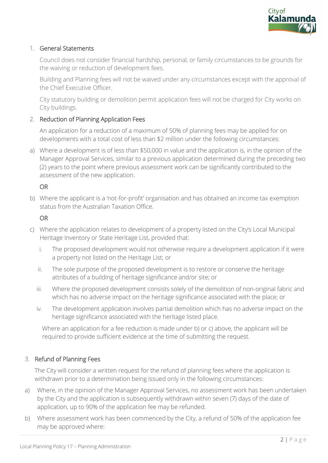

#### 1. General Statements

Council does not consider financial hardship, personal, or family circumstances to be grounds for the waiving or reduction of development fees.

Building and Planning fees will not be waived under any circumstances except with the approval of the Chief Executive Officer.

City statutory building or demolition permit application fees will not be charged for City works on City buildings.

#### 2. Reduction of Planning Application Fees

An application for a reduction of a maximum of 50% of planning fees may be applied for on developments with a total cost of less than \$2 million under the following circumstances:

a) Where a development is of less than \$50,000 in value and the application is, in the opinion of the Manager Approval Services, similar to a previous application determined during the preceding two (2) years to the point where previous assessment work can be significantly contributed to the assessment of the new application.

#### OR

b) Where the applicant is a 'not-for-profit' organisation and has obtained an income tax exemption status from the Australian Taxation Office.

#### OR

- c) Where the application relates to development of a property listed on the City's Local Municipal Heritage Inventory or State Heritage List, provided that:
	- i. The proposed development would not otherwise require a development application if it were a property not listed on the Heritage List; or
	- ii. The sole purpose of the proposed development is to restore or conserve the heritage attributes of a building of heritage significance and/or site; or
	- iii. Where the proposed development consists solely of the demolition of non-original fabric and which has no adverse impact on the heritage significance associated with the place; or
	- iv. The development application involves partial demolition which has no adverse impact on the heritage significance associated with the heritage listed place.

Where an application for a fee reduction is made under b) or c) above, the applicant will be required to provide sufficient evidence at the time of submitting the request.

#### 3. Refund of Planning Fees

The City will consider a written request for the refund of planning fees where the application is withdrawn prior to a determination being issued only in the following circumstances:

- a) Where, in the opinion of the Manager Approval Services, no assessment work has been undertaken by the City and the application is subsequently withdrawn within seven (7) days of the date of application, up to 90% of the application fee may be refunded.
- b) Where assessment work has been commenced by the City, a refund of 50% of the application fee may be approved where: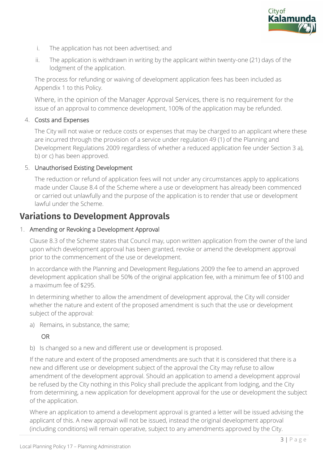

- i. The application has not been advertised; and
- ii. The application is withdrawn in writing by the applicant within twenty-one (21) days of the lodgment of the application.

The process for refunding or waiving of development application fees has been included as Appendix 1 to this Policy.

Where, in the opinion of the Manager Approval Services, there is no requirement for the issue of an approval to commence development, 100% of the application may be refunded.

#### 4. Costs and Expenses

The City will not waive or reduce costs or expenses that may be charged to an applicant where these are incurred through the provision of a service under regulation 49 (1) of the Planning and Development Regulations 2009 regardless of whether a reduced application fee under Section 3 a), b) or c) has been approved.

#### 5. Unauthorised Existing Development

The reduction or refund of application fees will not under any circumstances apply to applications made under Clause 8.4 of the Scheme where a use or development has already been commenced or carried out unlawfully and the purpose of the application is to render that use or development lawful under the Scheme.

## **Variations to Development Approvals**

#### 1. Amending or Revoking a Development Approval

Clause 8.3 of the Scheme states that Council may, upon written application from the owner of the land upon which development approval has been granted, revoke or amend the development approval prior to the commencement of the use or development.

In accordance with the Planning and Development Regulations 2009 the fee to amend an approved development application shall be 50% of the original application fee, with a minimum fee of \$100 and a maximum fee of \$295.

In determining whether to allow the amendment of development approval, the City will consider whether the nature and extent of the proposed amendment is such that the use or development subject of the approval:

a) Remains, in substance, the same;

#### OR

b) Is changed so a new and different use or development is proposed.

If the nature and extent of the proposed amendments are such that it is considered that there is a new and different use or development subject of the approval the City may refuse to allow amendment of the development approval. Should an application to amend a development approval be refused by the City nothing in this Policy shall preclude the applicant from lodging, and the City from determining, a new application for development approval for the use or development the subject of the application.

Where an application to amend a development approval is granted a letter will be issued advising the applicant of this. A new approval will not be issued, instead the original development approval (including conditions) will remain operative, subject to any amendments approved by the City.